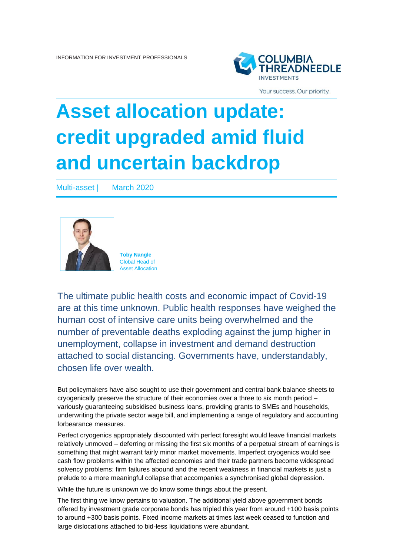

Your success. Our priority.

# **Asset allocation update: credit upgraded amid fluid and uncertain backdrop**

Multi-asset | March 2020



**Toby Nangle** Global Head of Asset Allocation

The ultimate public health costs and economic impact of Covid-19 are at this time unknown. Public health responses have weighed the human cost of intensive care units being overwhelmed and the number of preventable deaths exploding against the jump higher in unemployment, collapse in investment and demand destruction attached to social distancing. Governments have, understandably, chosen life over wealth.

But policymakers have also sought to use their government and central bank balance sheets to cryogenically preserve the structure of their economies over a three to six month period – variously guaranteeing subsidised business loans, providing grants to SMEs and households, underwriting the private sector wage bill, and implementing a range of regulatory and accounting forbearance measures.

Perfect cryogenics appropriately discounted with perfect foresight would leave financial markets relatively unmoved – deferring or missing the first six months of a perpetual stream of earnings is something that might warrant fairly minor market movements. Imperfect cryogenics would see cash flow problems within the affected economies and their trade partners become widespread solvency problems: firm failures abound and the recent weakness in financial markets is just a prelude to a more meaningful collapse that accompanies a synchronised global depression.

While the future is unknown we do know some things about the present.

The first thing we know pertains to valuation. The additional yield above government bonds offered by investment grade corporate bonds has tripled this year from around +100 basis points to around +300 basis points. Fixed income markets at times last week ceased to function and large dislocations attached to bid-less liquidations were abundant.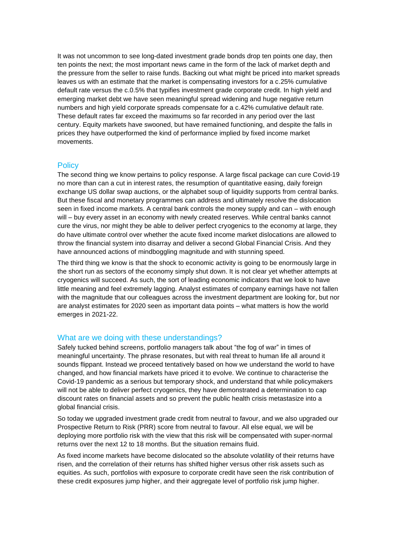It was not uncommon to see long-dated investment grade bonds drop ten points one day, then ten points the next; the most important news came in the form of the lack of market depth and the pressure from the seller to raise funds. Backing out what might be priced into market spreads leaves us with an estimate that the market is compensating investors for a c.25% cumulative default rate versus the c.0.5% that typifies investment grade corporate credit. In high yield and emerging market debt we have seen meaningful spread widening and huge negative return numbers and high yield corporate spreads compensate for a c.42% cumulative default rate. These default rates far exceed the maximums so far recorded in any period over the last century. Equity markets have swooned, but have remained functioning, and despite the falls in prices they have outperformed the kind of performance implied by fixed income market movements.

#### **Policy**

The second thing we know pertains to policy response. A large fiscal package can cure Covid-19 no more than can a cut in interest rates, the resumption of quantitative easing, daily foreign exchange US dollar swap auctions, or the alphabet soup of liquidity supports from central banks. But these fiscal and monetary programmes can address and ultimately resolve the dislocation seen in fixed income markets. A central bank controls the money supply and can – with enough will – buy every asset in an economy with newly created reserves. While central banks cannot cure the virus, nor might they be able to deliver perfect cryogenics to the economy at large, they do have ultimate control over whether the acute fixed income market dislocations are allowed to throw the financial system into disarray and deliver a second Global Financial Crisis. And they have announced actions of mindboggling magnitude and with stunning speed.

The third thing we know is that the shock to economic activity is going to be enormously large in the short run as sectors of the economy simply shut down. It is not clear yet whether attempts at cryogenics will succeed. As such, the sort of leading economic indicators that we look to have little meaning and feel extremely lagging. Analyst estimates of company earnings have not fallen with the magnitude that our colleagues across the investment department are looking for, but nor are analyst estimates for 2020 seen as important data points – what matters is how the world emerges in 2021-22.

### What are we doing with these understandings?

Safely tucked behind screens, portfolio managers talk about "the fog of war" in times of meaningful uncertainty. The phrase resonates, but with real threat to human life all around it sounds flippant. Instead we proceed tentatively based on how we understand the world to have changed, and how financial markets have priced it to evolve. We continue to characterise the Covid-19 pandemic as a serious but temporary shock, and understand that while policymakers will not be able to deliver perfect cryogenics, they have demonstrated a determination to cap discount rates on financial assets and so prevent the public health crisis metastasize into a global financial crisis.

So today we upgraded investment grade credit from neutral to favour, and we also upgraded our Prospective Return to Risk (PRR) score from neutral to favour. All else equal, we will be deploying more portfolio risk with the view that this risk will be compensated with super-normal returns over the next 12 to 18 months. But the situation remains fluid.

As fixed income markets have become dislocated so the absolute volatility of their returns have risen, and the correlation of their returns has shifted higher versus other risk assets such as equities. As such, portfolios with exposure to corporate credit have seen the risk contribution of these credit exposures jump higher, and their aggregate level of portfolio risk jump higher.